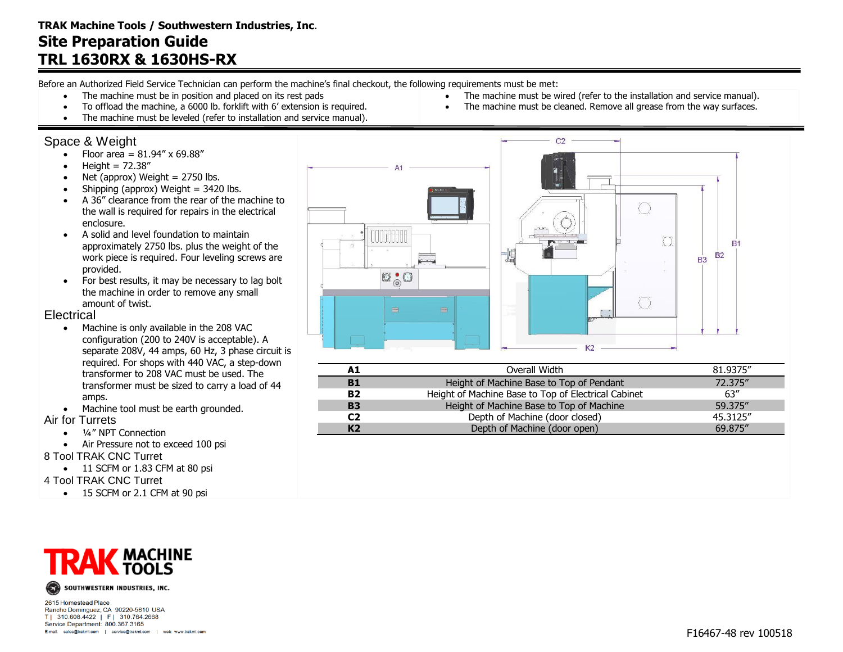Before an Authorized Field Service Technician can perform the machine's final checkout, the following requirements must be met:

- The machine must be in position and placed on its rest pads
- To offload the machine, a 6000 lb. forklift with 6' extension is required.
- The machine must be leveled (refer to installation and service manual).

### Space & Weight

- Floor area =  $81.94'' \times 69.88''$
- $\bullet$  Height = 72.38"
- $\bullet$  Net (approx) Weight = 2750 lbs.
- $\bullet$  Shipping (approx) Weight = 3420 lbs.
- A 36" clearance from the rear of the machine to the wall is required for repairs in the electrical enclosure.
- A solid and level foundation to maintain approximately 2750 lbs. plus the weight of the work piece is required. Four leveling screws are provided.
- For best results, it may be necessary to lag bolt the machine in order to remove any small amount of twist.

#### **Electrical**

- Machine is only available in the 208 VAC configuration (200 to 240V is acceptable). A separate 208V, 44 amps, 60 Hz, 3 phase circuit is required. For shops with 440 VAC, a step-down transformer to 208 VAC must be used. The transformer must be sized to carry a load of 44 amps.
- Machine tool must be earth grounded.

#### Air for Turrets

- $\bullet$   $\frac{1}{4}$ " NPT Connection
- Air Pressure not to exceed 100 psi

8 Tool TRAK CNC Turret

- 11 SCFM or 1.83 CFM at 80 psi
- 4 Tool TRAK CNC Turret

• 15 SCFM or 2.1 CFM at 90 psi



2615 Homestead Place Rancho Dominguez, CA 90220-5610 USA T| 310.608.4422 | F| 310.764.2668 Service Department: 800.367.3165 E-mail: sales@trakmt.com | service@trakmt.com | web: www.trakmt.com



 The machine must be wired (refer to the installation and service manual). • The machine must be cleaned. Remove all grease from the way surfaces.

| A1             | Overall Width                                       | 81.9375" |
|----------------|-----------------------------------------------------|----------|
| <b>B1</b>      | Height of Machine Base to Top of Pendant            | 72.375"  |
| <b>B2</b>      | Height of Machine Base to Top of Electrical Cabinet | 63''     |
| <b>B3</b>      | Height of Machine Base to Top of Machine            | 59.375"  |
| C2             | Depth of Machine (door closed)                      | 45.3125" |
| K <sub>2</sub> | Depth of Machine (door open)                        | 69.875"  |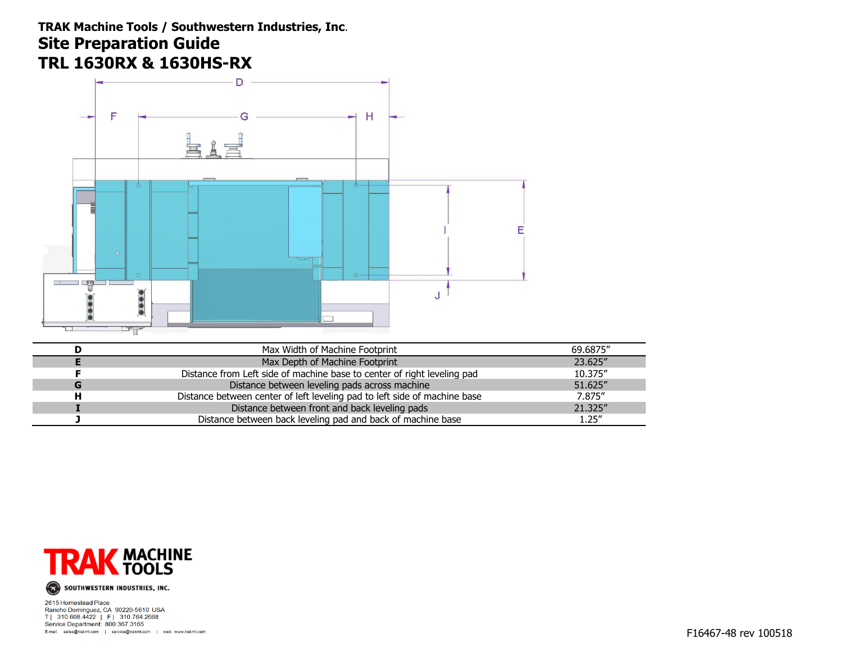## **TRAK Machine Tools / Southwestern Industries, Inc**. **Site Preparation Guide TRL 1630RX & 1630HS-RX**



| Max Width of Machine Footprint                                            | 69.6875" |
|---------------------------------------------------------------------------|----------|
| Max Depth of Machine Footprint                                            | 23.625"  |
| Distance from Left side of machine base to center of right leveling pad   | 10.375"  |
| Distance between leveling pads across machine                             | 51.625"  |
| Distance between center of left leveling pad to left side of machine base | 7.875"   |
| Distance between front and back leveling pads                             | 21.325"  |
| Distance between back leveling pad and back of machine base               | 1.25''   |



SOUTHWESTERN INDUSTRIES, INC.

2615 Homestead Place<br>Rancho Dominguez, CA 90220-5610 USA<br>T | 310.608.4422 | F | 310.764.2668 Service Department: 800.367.3165 E-mail: sales@trakmt.com | service@trakmt.com | web: www.trakmt.com